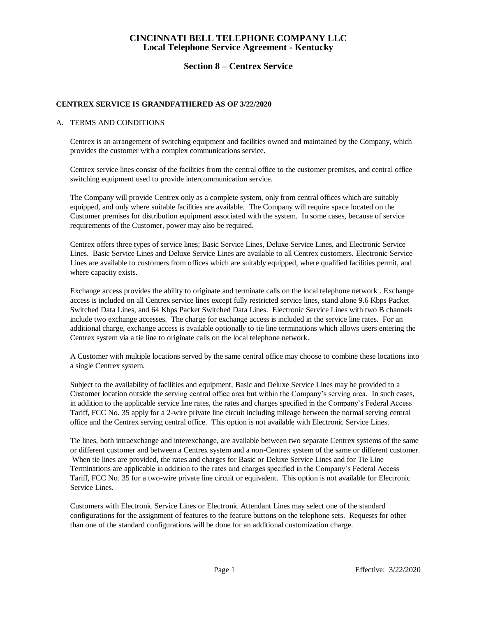### **Section 8 – Centrex Service**

### **CENTREX SERVICE IS GRANDFATHERED AS OF 3/22/2020**

### A. TERMS AND CONDITIONS

Centrex is an arrangement of switching equipment and facilities owned and maintained by the Company, which provides the customer with a complex communications service.

Centrex service lines consist of the facilities from the central office to the customer premises, and central office switching equipment used to provide intercommunication service.

The Company will provide Centrex only as a complete system, only from central offices which are suitably equipped, and only where suitable facilities are available. The Company will require space located on the Customer premises for distribution equipment associated with the system. In some cases, because of service requirements of the Customer, power may also be required.

Centrex offers three types of service lines; Basic Service Lines, Deluxe Service Lines, and Electronic Service Lines. Basic Service Lines and Deluxe Service Lines are available to all Centrex customers. Electronic Service Lines are available to customers from offices which are suitably equipped, where qualified facilities permit, and where capacity exists.

Exchange access provides the ability to originate and terminate calls on the local telephone network . Exchange access is included on all Centrex service lines except fully restricted service lines, stand alone 9.6 Kbps Packet Switched Data Lines, and 64 Kbps Packet Switched Data Lines. Electronic Service Lines with two B channels include two exchange accesses. The charge for exchange access is included in the service line rates. For an additional charge, exchange access is available optionally to tie line terminations which allows users entering the Centrex system via a tie line to originate calls on the local telephone network.

A Customer with multiple locations served by the same central office may choose to combine these locations into a single Centrex system.

Subject to the availability of facilities and equipment, Basic and Deluxe Service Lines may be provided to a Customer location outside the serving central office area but within the Company's serving area. In such cases, in addition to the applicable service line rates, the rates and charges specified in the Company's Federal Access Tariff, FCC No. 35 apply for a 2-wire private line circuit including mileage between the normal serving central office and the Centrex serving central office. This option is not available with Electronic Service Lines.

Tie lines, both intraexchange and interexchange, are available between two separate Centrex systems of the same or different customer and between a Centrex system and a non-Centrex system of the same or different customer. When tie lines are provided, the rates and charges for Basic or Deluxe Service Lines and for Tie Line Terminations are applicable in addition to the rates and charges specified in the Company's Federal Access Tariff, FCC No. 35 for a two-wire private line circuit or equivalent. This option is not available for Electronic Service Lines.

Customers with Electronic Service Lines or Electronic Attendant Lines may select one of the standard configurations for the assignment of features to the feature buttons on the telephone sets. Requests for other than one of the standard configurations will be done for an additional customization charge.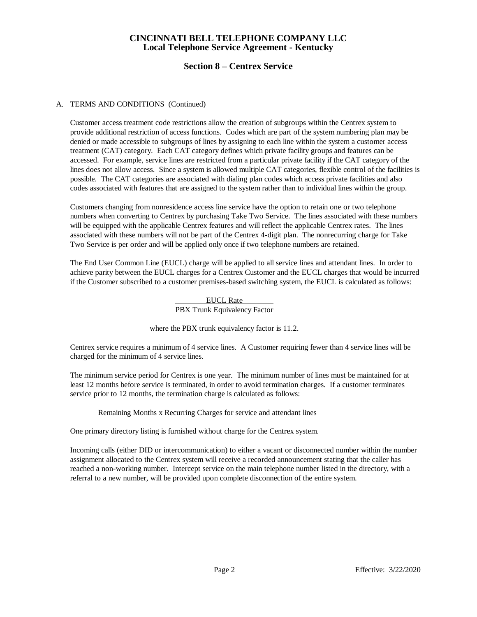## **Section 8 – Centrex Service**

### A. TERMS AND CONDITIONS (Continued)

Customer access treatment code restrictions allow the creation of subgroups within the Centrex system to provide additional restriction of access functions. Codes which are part of the system numbering plan may be denied or made accessible to subgroups of lines by assigning to each line within the system a customer access treatment (CAT) category. Each CAT category defines which private facility groups and features can be accessed. For example, service lines are restricted from a particular private facility if the CAT category of the lines does not allow access. Since a system is allowed multiple CAT categories, flexible control of the facilities is possible. The CAT categories are associated with dialing plan codes which access private facilities and also codes associated with features that are assigned to the system rather than to individual lines within the group.

Customers changing from nonresidence access line service have the option to retain one or two telephone numbers when converting to Centrex by purchasing Take Two Service. The lines associated with these numbers will be equipped with the applicable Centrex features and will reflect the applicable Centrex rates. The lines associated with these numbers will not be part of the Centrex 4-digit plan. The nonrecurring charge for Take Two Service is per order and will be applied only once if two telephone numbers are retained.

The End User Common Line (EUCL) charge will be applied to all service lines and attendant lines. In order to achieve parity between the EUCL charges for a Centrex Customer and the EUCL charges that would be incurred if the Customer subscribed to a customer premises-based switching system, the EUCL is calculated as follows:

> EUCL Rate PBX Trunk Equivalency Factor

where the PBX trunk equivalency factor is 11.2.

Centrex service requires a minimum of 4 service lines. A Customer requiring fewer than 4 service lines will be charged for the minimum of 4 service lines.

The minimum service period for Centrex is one year. The minimum number of lines must be maintained for at least 12 months before service is terminated, in order to avoid termination charges. If a customer terminates service prior to 12 months, the termination charge is calculated as follows:

Remaining Months x Recurring Charges for service and attendant lines

One primary directory listing is furnished without charge for the Centrex system.

Incoming calls (either DID or intercommunication) to either a vacant or disconnected number within the number assignment allocated to the Centrex system will receive a recorded announcement stating that the caller has reached a non-working number. Intercept service on the main telephone number listed in the directory, with a referral to a new number, will be provided upon complete disconnection of the entire system.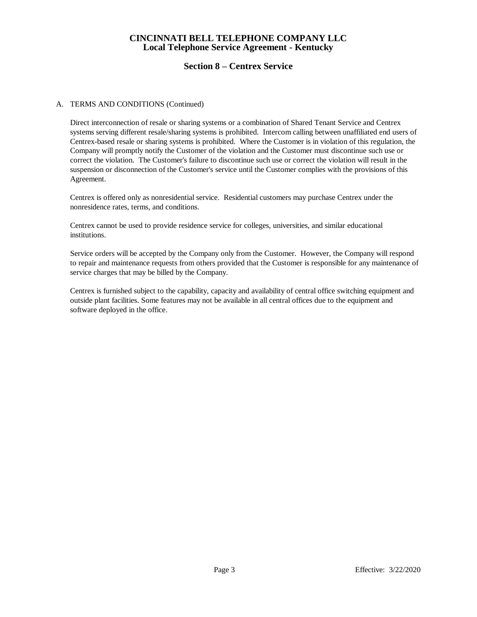## **Section 8 – Centrex Service**

### A. TERMS AND CONDITIONS (Continued)

Direct interconnection of resale or sharing systems or a combination of Shared Tenant Service and Centrex systems serving different resale/sharing systems is prohibited. Intercom calling between unaffiliated end users of Centrex-based resale or sharing systems is prohibited. Where the Customer is in violation of this regulation, the Company will promptly notify the Customer of the violation and the Customer must discontinue such use or correct the violation. The Customer's failure to discontinue such use or correct the violation will result in the suspension or disconnection of the Customer's service until the Customer complies with the provisions of this Agreement.

Centrex is offered only as nonresidential service. Residential customers may purchase Centrex under the nonresidence rates, terms, and conditions.

Centrex cannot be used to provide residence service for colleges, universities, and similar educational institutions.

Service orders will be accepted by the Company only from the Customer. However, the Company will respond to repair and maintenance requests from others provided that the Customer is responsible for any maintenance of service charges that may be billed by the Company.

Centrex is furnished subject to the capability, capacity and availability of central office switching equipment and outside plant facilities. Some features may not be available in all central offices due to the equipment and software deployed in the office.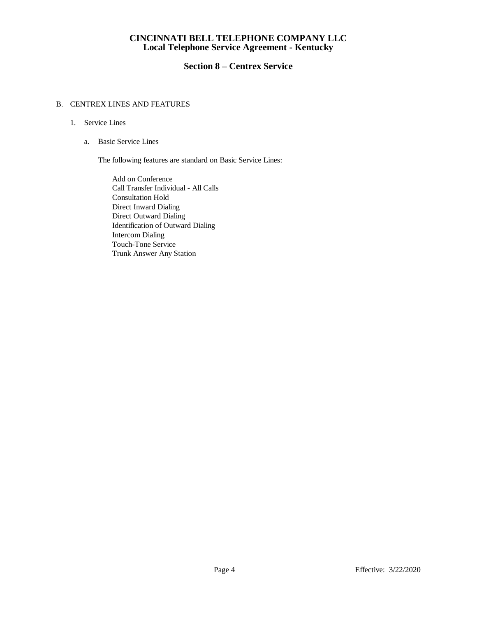# **Section 8 – Centrex Service**

### B. CENTREX LINES AND FEATURES

### 1. Service Lines

a. Basic Service Lines

The following features are standard on Basic Service Lines:

Add on Conference Call Transfer Individual - All Calls Consultation Hold Direct Inward Dialing Direct Outward Dialing Identification of Outward Dialing Intercom Dialing Touch-Tone Service Trunk Answer Any Station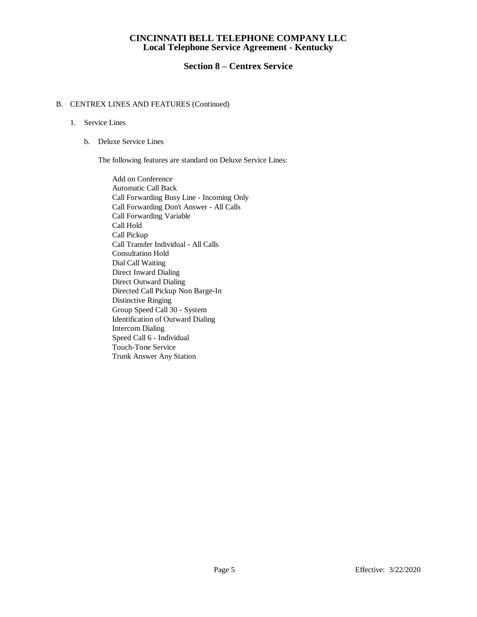## **Section 8 – Centrex Service**

### B. CENTREX LINES AND FEATURES (Continued)

### 1. Service Lines

b. Deluxe Service Lines

The following features are standard on Deluxe Service Lines:

Add on Conference Automatic Call Back Call Forwarding Busy Line - Incoming Only Call Forwarding Don't Answer - All Calls Call Forwarding Variable Call Hold Call Pickup Call Transfer Individual - All Calls Consultation Hold Dial Call Waiting Direct Inward Dialing Direct Outward Dialing Directed Call Pickup Non Barge-In Distinctive Ringing Group Speed Call 30 - System Identification of Outward Dialing Intercom Dialing Speed Call 6 - Individual Touch-Tone Service Trunk Answer Any Station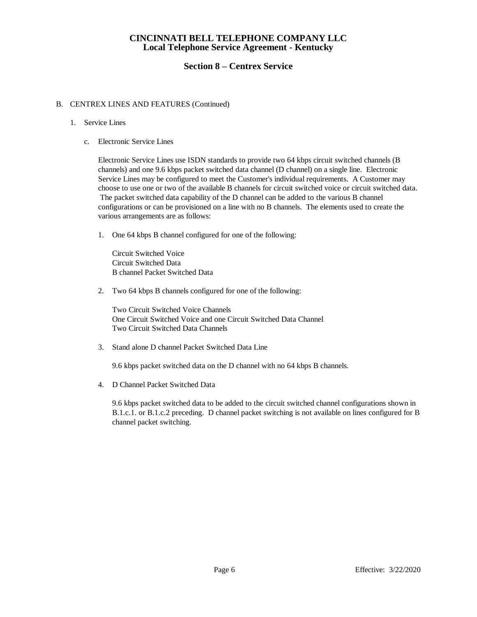## **Section 8 – Centrex Service**

### B. CENTREX LINES AND FEATURES (Continued)

### 1. Service Lines

c. Electronic Service Lines

Electronic Service Lines use ISDN standards to provide two 64 kbps circuit switched channels (B channels) and one 9.6 kbps packet switched data channel (D channel) on a single line. Electronic Service Lines may be configured to meet the Customer's individual requirements. A Customer may choose to use one or two of the available B channels for circuit switched voice or circuit switched data. The packet switched data capability of the D channel can be added to the various B channel configurations or can be provisioned on a line with no B channels. The elements used to create the various arrangements are as follows:

1. One 64 kbps B channel configured for one of the following:

Circuit Switched Voice Circuit Switched Data B channel Packet Switched Data

2. Two 64 kbps B channels configured for one of the following:

Two Circuit Switched Voice Channels One Circuit Switched Voice and one Circuit Switched Data Channel Two Circuit Switched Data Channels

3. Stand alone D channel Packet Switched Data Line

9.6 kbps packet switched data on the D channel with no 64 kbps B channels.

4. D Channel Packet Switched Data

9.6 kbps packet switched data to be added to the circuit switched channel configurations shown in B.1.c.1. or B.1.c.2 preceding. D channel packet switching is not available on lines configured for B channel packet switching.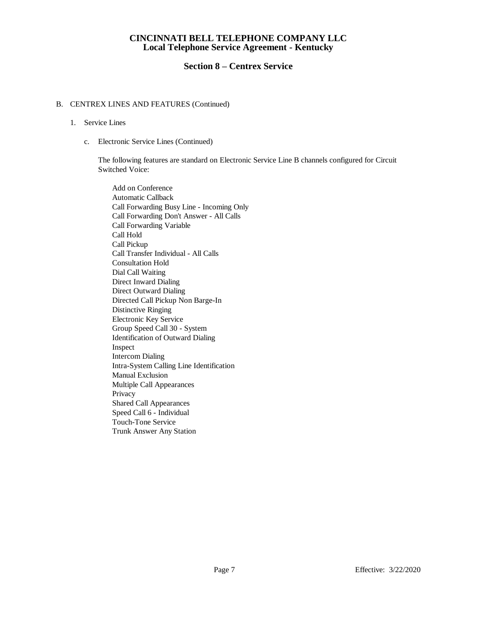## **Section 8 – Centrex Service**

### B. CENTREX LINES AND FEATURES (Continued)

### 1. Service Lines

c. Electronic Service Lines (Continued)

The following features are standard on Electronic Service Line B channels configured for Circuit Switched Voice:

Add on Conference Automatic Callback Call Forwarding Busy Line - Incoming Only Call Forwarding Don't Answer - All Calls Call Forwarding Variable Call Hold Call Pickup Call Transfer Individual - All Calls Consultation Hold Dial Call Waiting Direct Inward Dialing Direct Outward Dialing Directed Call Pickup Non Barge-In Distinctive Ringing Electronic Key Service Group Speed Call 30 - System Identification of Outward Dialing Inspect Intercom Dialing Intra-System Calling Line Identification Manual Exclusion Multiple Call Appearances Privacy Shared Call Appearances Speed Call 6 - Individual Touch-Tone Service Trunk Answer Any Station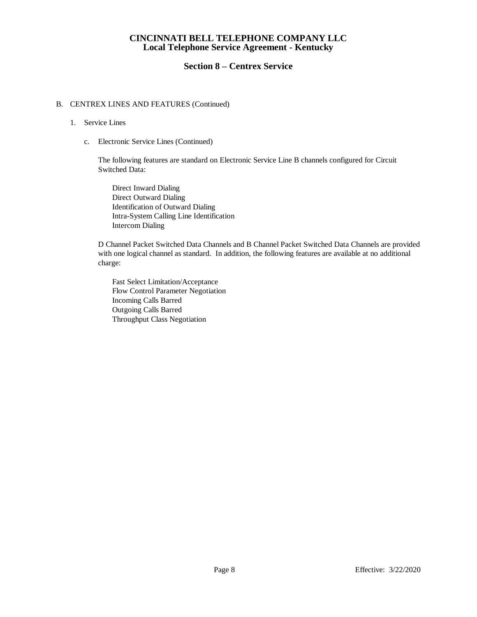## **Section 8 – Centrex Service**

### B. CENTREX LINES AND FEATURES (Continued)

### 1. Service Lines

c. Electronic Service Lines (Continued)

The following features are standard on Electronic Service Line B channels configured for Circuit Switched Data:

Direct Inward Dialing Direct Outward Dialing Identification of Outward Dialing Intra-System Calling Line Identification Intercom Dialing

D Channel Packet Switched Data Channels and B Channel Packet Switched Data Channels are provided with one logical channel as standard. In addition, the following features are available at no additional charge:

Fast Select Limitation/Acceptance Flow Control Parameter Negotiation Incoming Calls Barred Outgoing Calls Barred Throughput Class Negotiation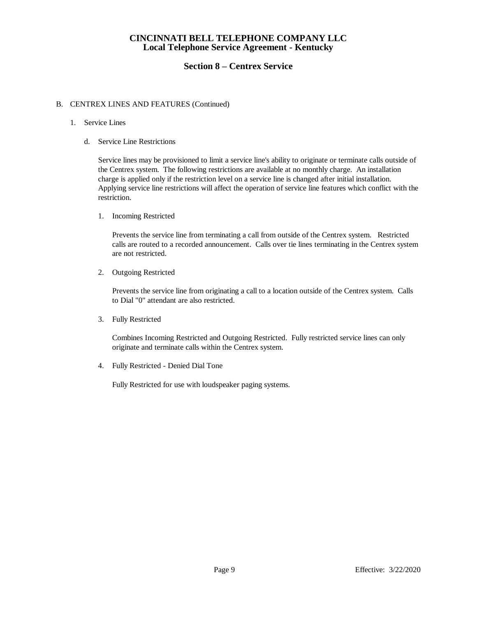## **Section 8 – Centrex Service**

### B. CENTREX LINES AND FEATURES (Continued)

### 1. Service Lines

d. Service Line Restrictions

Service lines may be provisioned to limit a service line's ability to originate or terminate calls outside of the Centrex system. The following restrictions are available at no monthly charge. An installation charge is applied only if the restriction level on a service line is changed after initial installation. Applying service line restrictions will affect the operation of service line features which conflict with the restriction.

1. Incoming Restricted

Prevents the service line from terminating a call from outside of the Centrex system. Restricted calls are routed to a recorded announcement. Calls over tie lines terminating in the Centrex system are not restricted.

2. Outgoing Restricted

Prevents the service line from originating a call to a location outside of the Centrex system. Calls to Dial "0" attendant are also restricted.

3. Fully Restricted

Combines Incoming Restricted and Outgoing Restricted. Fully restricted service lines can only originate and terminate calls within the Centrex system.

4. Fully Restricted - Denied Dial Tone

Fully Restricted for use with loudspeaker paging systems.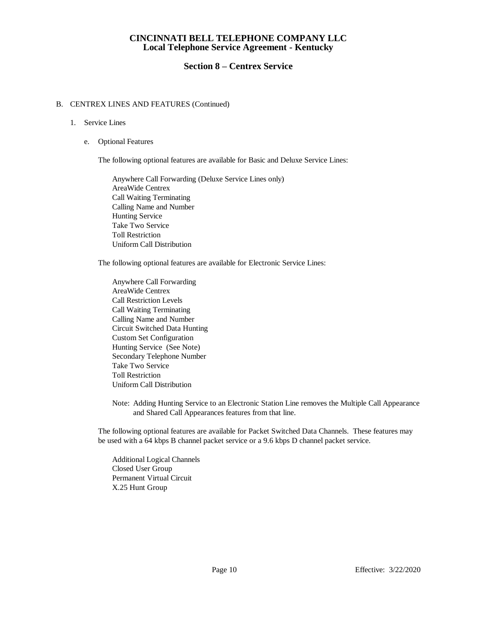## **Section 8 – Centrex Service**

### B. CENTREX LINES AND FEATURES (Continued)

### 1. Service Lines

e. Optional Features

The following optional features are available for Basic and Deluxe Service Lines:

Anywhere Call Forwarding (Deluxe Service Lines only) AreaWide Centrex Call Waiting Terminating Calling Name and Number Hunting Service Take Two Service Toll Restriction Uniform Call Distribution

The following optional features are available for Electronic Service Lines:

Anywhere Call Forwarding AreaWide Centrex Call Restriction Levels Call Waiting Terminating Calling Name and Number Circuit Switched Data Hunting Custom Set Configuration Hunting Service (See Note) Secondary Telephone Number Take Two Service Toll Restriction Uniform Call Distribution

Note: Adding Hunting Service to an Electronic Station Line removes the Multiple Call Appearance and Shared Call Appearances features from that line.

The following optional features are available for Packet Switched Data Channels. These features may be used with a 64 kbps B channel packet service or a 9.6 kbps D channel packet service.

Additional Logical Channels Closed User Group Permanent Virtual Circuit X.25 Hunt Group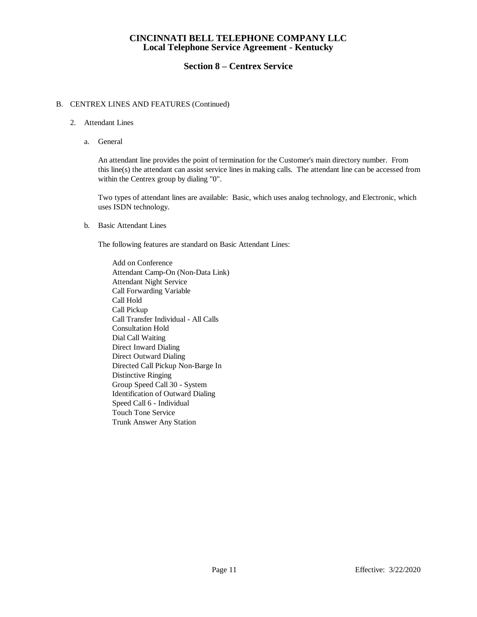## **Section 8 – Centrex Service**

### B. CENTREX LINES AND FEATURES (Continued)

- 2. Attendant Lines
	- a. General

An attendant line provides the point of termination for the Customer's main directory number. From this line(s) the attendant can assist service lines in making calls. The attendant line can be accessed from within the Centrex group by dialing "0".

Two types of attendant lines are available: Basic, which uses analog technology, and Electronic, which uses ISDN technology.

b. Basic Attendant Lines

The following features are standard on Basic Attendant Lines:

Add on Conference Attendant Camp-On (Non-Data Link) Attendant Night Service Call Forwarding Variable Call Hold Call Pickup Call Transfer Individual - All Calls Consultation Hold Dial Call Waiting Direct Inward Dialing Direct Outward Dialing Directed Call Pickup Non-Barge In Distinctive Ringing Group Speed Call 30 - System Identification of Outward Dialing Speed Call 6 - Individual Touch Tone Service Trunk Answer Any Station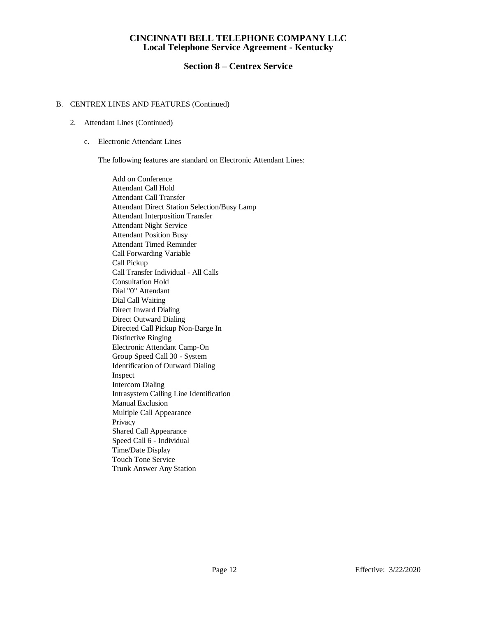## **Section 8 – Centrex Service**

### B. CENTREX LINES AND FEATURES (Continued)

- 2. Attendant Lines (Continued)
	- c. Electronic Attendant Lines

The following features are standard on Electronic Attendant Lines:

Add on Conference Attendant Call Hold Attendant Call Transfer Attendant Direct Station Selection/Busy Lamp Attendant Interposition Transfer Attendant Night Service Attendant Position Busy Attendant Timed Reminder Call Forwarding Variable Call Pickup Call Transfer Individual - All Calls Consultation Hold Dial "0" Attendant Dial Call Waiting Direct Inward Dialing Direct Outward Dialing Directed Call Pickup Non-Barge In Distinctive Ringing Electronic Attendant Camp-On Group Speed Call 30 - System Identification of Outward Dialing Inspect Intercom Dialing Intrasystem Calling Line Identification Manual Exclusion Multiple Call Appearance Privacy Shared Call Appearance Speed Call 6 - Individual Time/Date Display Touch Tone Service Trunk Answer Any Station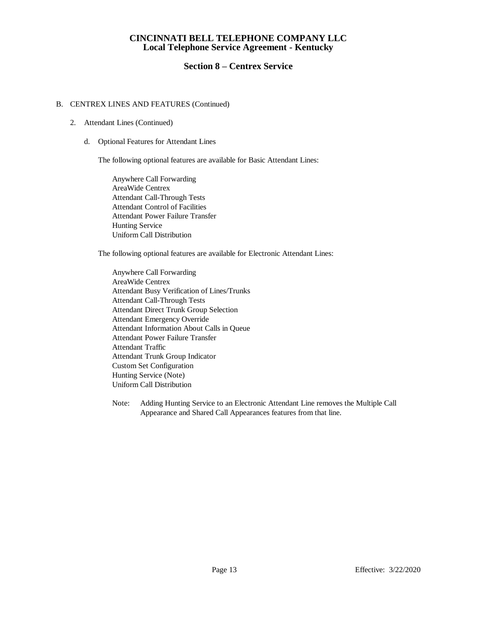## **Section 8 – Centrex Service**

### B. CENTREX LINES AND FEATURES (Continued)

- 2. Attendant Lines (Continued)
	- d. Optional Features for Attendant Lines

The following optional features are available for Basic Attendant Lines:

Anywhere Call Forwarding AreaWide Centrex Attendant Call-Through Tests Attendant Control of Facilities Attendant Power Failure Transfer Hunting Service Uniform Call Distribution

The following optional features are available for Electronic Attendant Lines:

Anywhere Call Forwarding AreaWide Centrex Attendant Busy Verification of Lines/Trunks Attendant Call-Through Tests Attendant Direct Trunk Group Selection Attendant Emergency Override Attendant Information About Calls in Queue Attendant Power Failure Transfer Attendant Traffic Attendant Trunk Group Indicator Custom Set Configuration Hunting Service (Note) Uniform Call Distribution

Note: Adding Hunting Service to an Electronic Attendant Line removes the Multiple Call Appearance and Shared Call Appearances features from that line.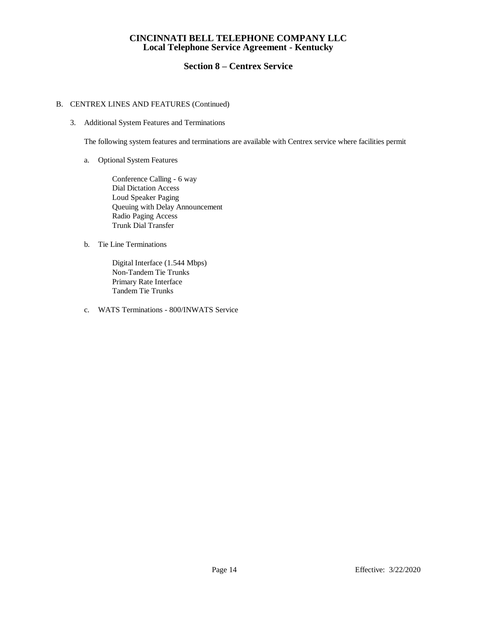## **Section 8 – Centrex Service**

### B. CENTREX LINES AND FEATURES (Continued)

3. Additional System Features and Terminations

The following system features and terminations are available with Centrex service where facilities permit

a. Optional System Features

Conference Calling - 6 way Dial Dictation Access Loud Speaker Paging Queuing with Delay Announcement Radio Paging Access Trunk Dial Transfer

b. Tie Line Terminations

Digital Interface (1.544 Mbps) Non-Tandem Tie Trunks Primary Rate Interface Tandem Tie Trunks

c. WATS Terminations - 800/INWATS Service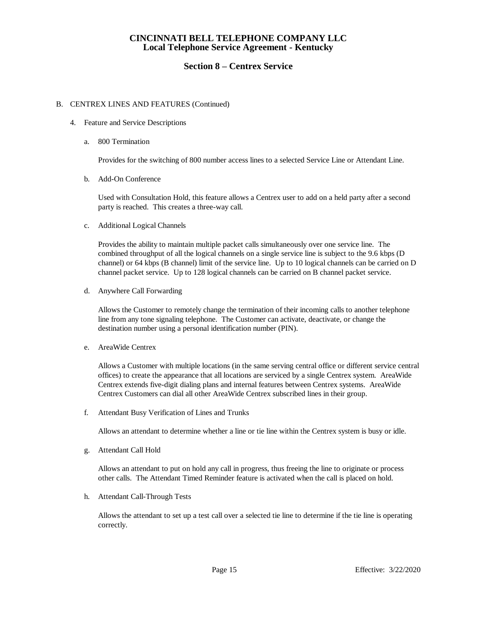## **Section 8 – Centrex Service**

### B. CENTREX LINES AND FEATURES (Continued)

- 4. Feature and Service Descriptions
	- a. 800 Termination

Provides for the switching of 800 number access lines to a selected Service Line or Attendant Line.

b. Add-On Conference

Used with Consultation Hold, this feature allows a Centrex user to add on a held party after a second party is reached. This creates a three-way call.

c. Additional Logical Channels

Provides the ability to maintain multiple packet calls simultaneously over one service line. The combined throughput of all the logical channels on a single service line is subject to the 9.6 kbps (D channel) or 64 kbps (B channel) limit of the service line. Up to 10 logical channels can be carried on D channel packet service. Up to 128 logical channels can be carried on B channel packet service.

d. Anywhere Call Forwarding

Allows the Customer to remotely change the termination of their incoming calls to another telephone line from any tone signaling telephone. The Customer can activate, deactivate, or change the destination number using a personal identification number (PIN).

e. AreaWide Centrex

Allows a Customer with multiple locations (in the same serving central office or different service central offices) to create the appearance that all locations are serviced by a single Centrex system. AreaWide Centrex extends five-digit dialing plans and internal features between Centrex systems. AreaWide Centrex Customers can dial all other AreaWide Centrex subscribed lines in their group.

f. Attendant Busy Verification of Lines and Trunks

Allows an attendant to determine whether a line or tie line within the Centrex system is busy or idle.

g. Attendant Call Hold

Allows an attendant to put on hold any call in progress, thus freeing the line to originate or process other calls. The Attendant Timed Reminder feature is activated when the call is placed on hold.

h. Attendant Call-Through Tests

Allows the attendant to set up a test call over a selected tie line to determine if the tie line is operating correctly.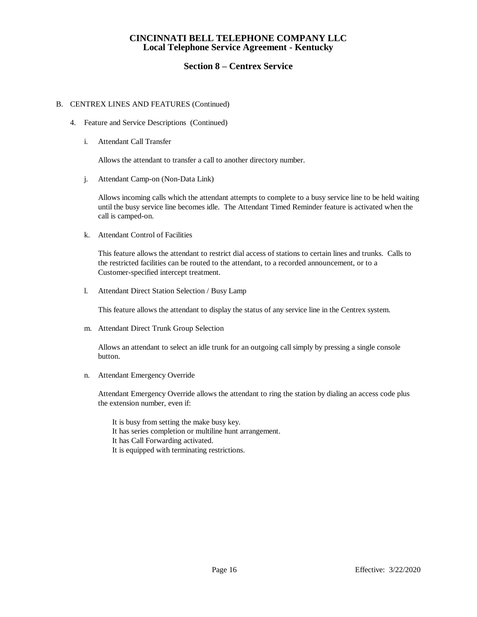## **Section 8 – Centrex Service**

### B. CENTREX LINES AND FEATURES (Continued)

- 4. Feature and Service Descriptions (Continued)
	- i. Attendant Call Transfer

Allows the attendant to transfer a call to another directory number.

j. Attendant Camp-on (Non-Data Link)

Allows incoming calls which the attendant attempts to complete to a busy service line to be held waiting until the busy service line becomes idle. The Attendant Timed Reminder feature is activated when the call is camped-on.

k. Attendant Control of Facilities

This feature allows the attendant to restrict dial access of stations to certain lines and trunks. Calls to the restricted facilities can be routed to the attendant, to a recorded announcement, or to a Customer-specified intercept treatment.

l. Attendant Direct Station Selection / Busy Lamp

This feature allows the attendant to display the status of any service line in the Centrex system.

m. Attendant Direct Trunk Group Selection

Allows an attendant to select an idle trunk for an outgoing call simply by pressing a single console button.

n. Attendant Emergency Override

Attendant Emergency Override allows the attendant to ring the station by dialing an access code plus the extension number, even if:

- It is busy from setting the make busy key.
- It has series completion or multiline hunt arrangement.
- It has Call Forwarding activated.
- It is equipped with terminating restrictions.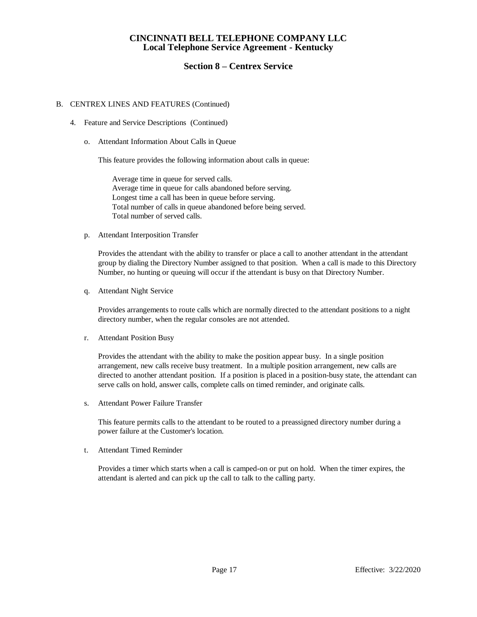## **Section 8 – Centrex Service**

### B. CENTREX LINES AND FEATURES (Continued)

- 4. Feature and Service Descriptions (Continued)
	- o. Attendant Information About Calls in Queue

This feature provides the following information about calls in queue:

Average time in queue for served calls. Average time in queue for calls abandoned before serving. Longest time a call has been in queue before serving. Total number of calls in queue abandoned before being served. Total number of served calls.

p. Attendant Interposition Transfer

Provides the attendant with the ability to transfer or place a call to another attendant in the attendant group by dialing the Directory Number assigned to that position. When a call is made to this Directory Number, no hunting or queuing will occur if the attendant is busy on that Directory Number.

q. Attendant Night Service

Provides arrangements to route calls which are normally directed to the attendant positions to a night directory number, when the regular consoles are not attended.

r. Attendant Position Busy

Provides the attendant with the ability to make the position appear busy. In a single position arrangement, new calls receive busy treatment. In a multiple position arrangement, new calls are directed to another attendant position. If a position is placed in a position-busy state, the attendant can serve calls on hold, answer calls, complete calls on timed reminder, and originate calls.

s. Attendant Power Failure Transfer

This feature permits calls to the attendant to be routed to a preassigned directory number during a power failure at the Customer's location.

t. Attendant Timed Reminder

Provides a timer which starts when a call is camped-on or put on hold. When the timer expires, the attendant is alerted and can pick up the call to talk to the calling party.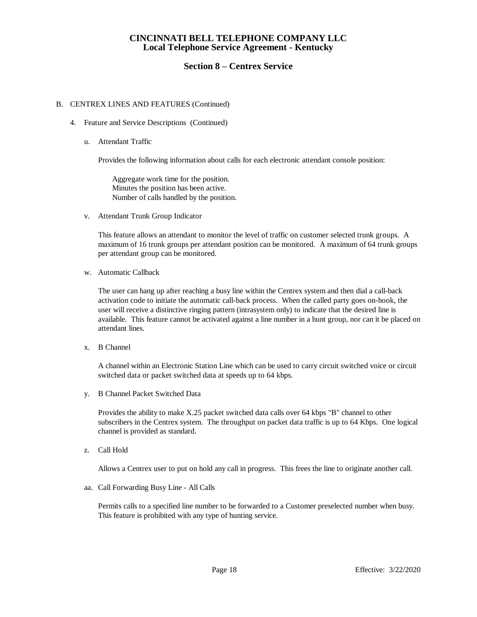## **Section 8 – Centrex Service**

### B. CENTREX LINES AND FEATURES (Continued)

- 4. Feature and Service Descriptions (Continued)
	- u. Attendant Traffic

Provides the following information about calls for each electronic attendant console position:

Aggregate work time for the position. Minutes the position has been active. Number of calls handled by the position.

v. Attendant Trunk Group Indicator

This feature allows an attendant to monitor the level of traffic on customer selected trunk groups. A maximum of 16 trunk groups per attendant position can be monitored. A maximum of 64 trunk groups per attendant group can be monitored.

w. Automatic Callback

The user can hang up after reaching a busy line within the Centrex system and then dial a call-back activation code to initiate the automatic call-back process. When the called party goes on-hook, the user will receive a distinctive ringing pattern (intrasystem only) to indicate that the desired line is available. This feature cannot be activated against a line number in a hunt group, nor can it be placed on attendant lines.

x. B Channel

A channel within an Electronic Station Line which can be used to carry circuit switched voice or circuit switched data or packet switched data at speeds up to 64 kbps.

y. B Channel Packet Switched Data

Provides the ability to make X.25 packet switched data calls over 64 kbps "B" channel to other subscribers in the Centrex system. The throughput on packet data traffic is up to 64 Kbps. One logical channel is provided as standard.

z. Call Hold

Allows a Centrex user to put on hold any call in progress. This frees the line to originate another call.

aa. Call Forwarding Busy Line - All Calls

Permits calls to a specified line number to be forwarded to a Customer preselected number when busy. This feature is prohibited with any type of hunting service.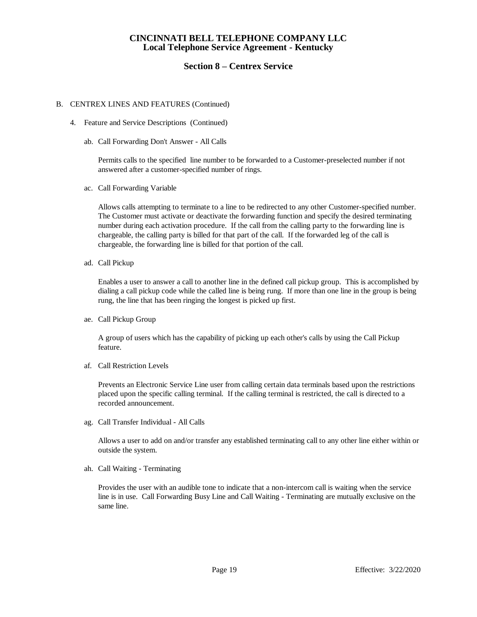### **Section 8 – Centrex Service**

### B. CENTREX LINES AND FEATURES (Continued)

- 4. Feature and Service Descriptions (Continued)
	- ab. Call Forwarding Don't Answer All Calls

Permits calls to the specified line number to be forwarded to a Customer-preselected number if not answered after a customer-specified number of rings.

ac. Call Forwarding Variable

Allows calls attempting to terminate to a line to be redirected to any other Customer-specified number. The Customer must activate or deactivate the forwarding function and specify the desired terminating number during each activation procedure. If the call from the calling party to the forwarding line is chargeable, the calling party is billed for that part of the call. If the forwarded leg of the call is chargeable, the forwarding line is billed for that portion of the call.

ad. Call Pickup

Enables a user to answer a call to another line in the defined call pickup group. This is accomplished by dialing a call pickup code while the called line is being rung. If more than one line in the group is being rung, the line that has been ringing the longest is picked up first.

ae. Call Pickup Group

A group of users which has the capability of picking up each other's calls by using the Call Pickup feature.

af. Call Restriction Levels

Prevents an Electronic Service Line user from calling certain data terminals based upon the restrictions placed upon the specific calling terminal. If the calling terminal is restricted, the call is directed to a recorded announcement.

ag. Call Transfer Individual - All Calls

Allows a user to add on and/or transfer any established terminating call to any other line either within or outside the system.

ah. Call Waiting - Terminating

Provides the user with an audible tone to indicate that a non-intercom call is waiting when the service line is in use. Call Forwarding Busy Line and Call Waiting - Terminating are mutually exclusive on the same line.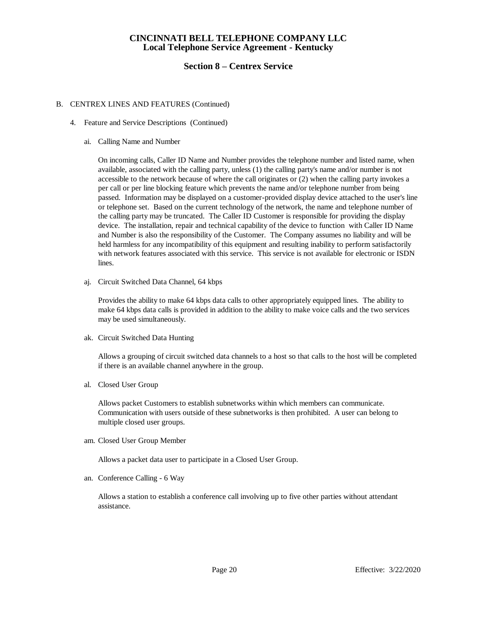## **Section 8 – Centrex Service**

### B. CENTREX LINES AND FEATURES (Continued)

- 4. Feature and Service Descriptions (Continued)
	- ai. Calling Name and Number

On incoming calls, Caller ID Name and Number provides the telephone number and listed name, when available, associated with the calling party, unless (1) the calling party's name and/or number is not accessible to the network because of where the call originates or (2) when the calling party invokes a per call or per line blocking feature which prevents the name and/or telephone number from being passed. Information may be displayed on a customer-provided display device attached to the user's line or telephone set. Based on the current technology of the network, the name and telephone number of the calling party may be truncated. The Caller ID Customer is responsible for providing the display device. The installation, repair and technical capability of the device to function with Caller ID Name and Number is also the responsibility of the Customer. The Company assumes no liability and will be held harmless for any incompatibility of this equipment and resulting inability to perform satisfactorily with network features associated with this service. This service is not available for electronic or ISDN lines.

aj. Circuit Switched Data Channel, 64 kbps

Provides the ability to make 64 kbps data calls to other appropriately equipped lines. The ability to make 64 kbps data calls is provided in addition to the ability to make voice calls and the two services may be used simultaneously.

ak. Circuit Switched Data Hunting

Allows a grouping of circuit switched data channels to a host so that calls to the host will be completed if there is an available channel anywhere in the group.

al. Closed User Group

Allows packet Customers to establish subnetworks within which members can communicate. Communication with users outside of these subnetworks is then prohibited. A user can belong to multiple closed user groups.

am. Closed User Group Member

Allows a packet data user to participate in a Closed User Group.

an. Conference Calling - 6 Way

Allows a station to establish a conference call involving up to five other parties without attendant assistance.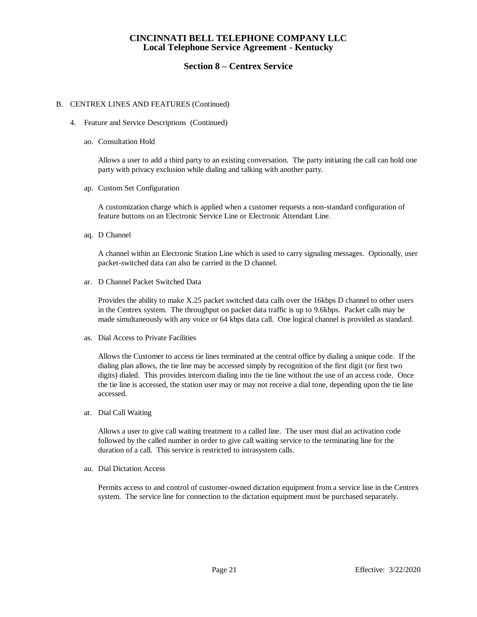## **Section 8 – Centrex Service**

### B. CENTREX LINES AND FEATURES (Continued)

- 4. Feature and Service Descriptions (Continued)
	- ao. Consultation Hold

Allows a user to add a third party to an existing conversation. The party initiating the call can hold one party with privacy exclusion while dialing and talking with another party.

ap. Custom Set Configuration

A customization charge which is applied when a customer requests a non-standard configuration of feature buttons on an Electronic Service Line or Electronic Attendant Line.

aq. D Channel

A channel within an Electronic Station Line which is used to carry signaling messages. Optionally, user packet-switched data can also be carried in the D channel.

ar. D Channel Packet Switched Data

Provides the ability to make X.25 packet switched data calls over the 16kbps D channel to other users in the Centrex system. The throughput on packet data traffic is up to 9.6kbps. Packet calls may be made simultaneously with any voice or 64 kbps data call. One logical channel is provided as standard.

as. Dial Access to Private Facilities

Allows the Customer to access tie lines terminated at the central office by dialing a unique code. If the dialing plan allows, the tie line may be accessed simply by recognition of the first digit (or first two digits) dialed. This provides intercom dialing into the tie line without the use of an access code. Once the tie line is accessed, the station user may or may not receive a dial tone, depending upon the tie line accessed.

at. Dial Call Waiting

Allows a user to give call waiting treatment to a called line. The user must dial an activation code followed by the called number in order to give call waiting service to the terminating line for the duration of a call. This service is restricted to intrasystem calls.

au. Dial Dictation Access

Permits access to and control of customer-owned dictation equipment from a service line in the Centrex system. The service line for connection to the dictation equipment must be purchased separately.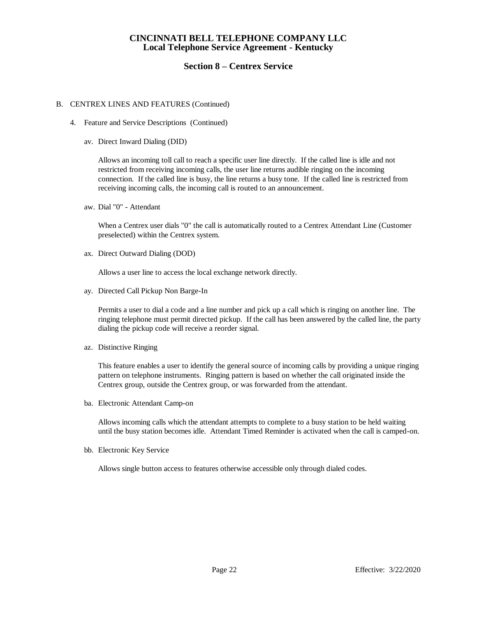## **Section 8 – Centrex Service**

### B. CENTREX LINES AND FEATURES (Continued)

- 4. Feature and Service Descriptions (Continued)
	- av. Direct Inward Dialing (DID)

Allows an incoming toll call to reach a specific user line directly. If the called line is idle and not restricted from receiving incoming calls, the user line returns audible ringing on the incoming connection. If the called line is busy, the line returns a busy tone. If the called line is restricted from receiving incoming calls, the incoming call is routed to an announcement.

aw. Dial "0" - Attendant

When a Centrex user dials "0" the call is automatically routed to a Centrex Attendant Line (Customer preselected) within the Centrex system.

ax. Direct Outward Dialing (DOD)

Allows a user line to access the local exchange network directly.

ay. Directed Call Pickup Non Barge-In

Permits a user to dial a code and a line number and pick up a call which is ringing on another line. The ringing telephone must permit directed pickup. If the call has been answered by the called line, the party dialing the pickup code will receive a reorder signal.

az. Distinctive Ringing

This feature enables a user to identify the general source of incoming calls by providing a unique ringing pattern on telephone instruments. Ringing pattern is based on whether the call originated inside the Centrex group, outside the Centrex group, or was forwarded from the attendant.

ba. Electronic Attendant Camp-on

Allows incoming calls which the attendant attempts to complete to a busy station to be held waiting until the busy station becomes idle. Attendant Timed Reminder is activated when the call is camped-on.

bb. Electronic Key Service

Allows single button access to features otherwise accessible only through dialed codes.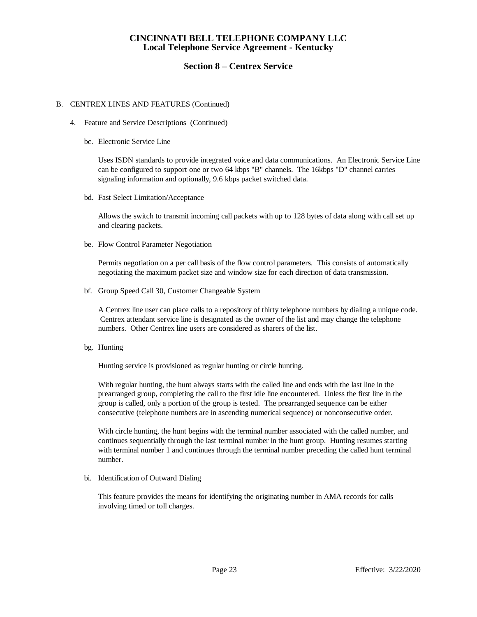## **Section 8 – Centrex Service**

### B. CENTREX LINES AND FEATURES (Continued)

- 4. Feature and Service Descriptions (Continued)
	- bc. Electronic Service Line

Uses ISDN standards to provide integrated voice and data communications. An Electronic Service Line can be configured to support one or two 64 kbps "B" channels. The 16kbps "D" channel carries signaling information and optionally, 9.6 kbps packet switched data.

bd. Fast Select Limitation/Acceptance

Allows the switch to transmit incoming call packets with up to 128 bytes of data along with call set up and clearing packets.

be. Flow Control Parameter Negotiation

Permits negotiation on a per call basis of the flow control parameters. This consists of automatically negotiating the maximum packet size and window size for each direction of data transmission.

bf. Group Speed Call 30, Customer Changeable System

A Centrex line user can place calls to a repository of thirty telephone numbers by dialing a unique code. Centrex attendant service line is designated as the owner of the list and may change the telephone numbers. Other Centrex line users are considered as sharers of the list.

bg. Hunting

Hunting service is provisioned as regular hunting or circle hunting.

With regular hunting, the hunt always starts with the called line and ends with the last line in the prearranged group, completing the call to the first idle line encountered. Unless the first line in the group is called, only a portion of the group is tested. The prearranged sequence can be either consecutive (telephone numbers are in ascending numerical sequence) or nonconsecutive order.

With circle hunting, the hunt begins with the terminal number associated with the called number, and continues sequentially through the last terminal number in the hunt group. Hunting resumes starting with terminal number 1 and continues through the terminal number preceding the called hunt terminal number.

bi. Identification of Outward Dialing

This feature provides the means for identifying the originating number in AMA records for calls involving timed or toll charges.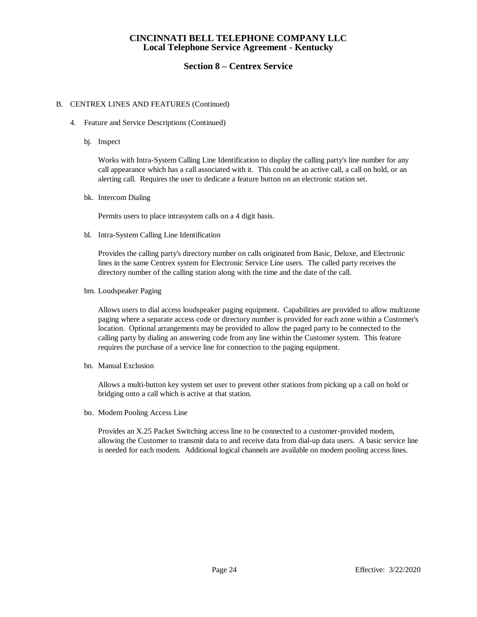## **Section 8 – Centrex Service**

### B. CENTREX LINES AND FEATURES (Continued)

- 4. Feature and Service Descriptions (Continued)
	- bj. Inspect

Works with Intra-System Calling Line Identification to display the calling party's line number for any call appearance which has a call associated with it. This could be an active call, a call on hold, or an alerting call. Requires the user to dedicate a feature button on an electronic station set.

bk. Intercom Dialing

Permits users to place intrasystem calls on a 4 digit basis.

bl. Intra-System Calling Line Identification

Provides the calling party's directory number on calls originated from Basic, Deluxe, and Electronic lines in the same Centrex system for Electronic Service Line users. The called party receives the directory number of the calling station along with the time and the date of the call.

bm. Loudspeaker Paging

Allows users to dial access loudspeaker paging equipment. Capabilities are provided to allow multizone paging where a separate access code or directory number is provided for each zone within a Customer's location. Optional arrangements may be provided to allow the paged party to be connected to the calling party by dialing an answering code from any line within the Customer system. This feature requires the purchase of a service line for connection to the paging equipment.

bn. Manual Exclusion

Allows a multi-button key system set user to prevent other stations from picking up a call on hold or bridging onto a call which is active at that station.

bo. Modem Pooling Access Line

Provides an X.25 Packet Switching access line to be connected to a customer-provided modem, allowing the Customer to transmit data to and receive data from dial-up data users. A basic service line is needed for each modem. Additional logical channels are available on modem pooling access lines.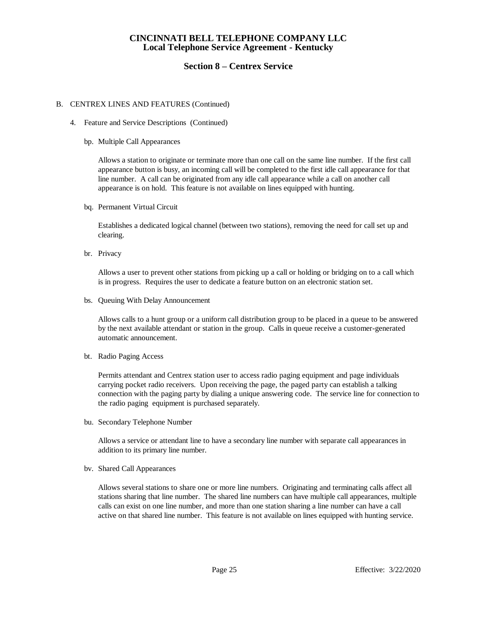## **Section 8 – Centrex Service**

#### B. CENTREX LINES AND FEATURES (Continued)

- 4. Feature and Service Descriptions (Continued)
	- bp. Multiple Call Appearances

Allows a station to originate or terminate more than one call on the same line number. If the first call appearance button is busy, an incoming call will be completed to the first idle call appearance for that line number. A call can be originated from any idle call appearance while a call on another call appearance is on hold. This feature is not available on lines equipped with hunting.

bq. Permanent Virtual Circuit

Establishes a dedicated logical channel (between two stations), removing the need for call set up and clearing.

br. Privacy

Allows a user to prevent other stations from picking up a call or holding or bridging on to a call which is in progress. Requires the user to dedicate a feature button on an electronic station set.

bs. Queuing With Delay Announcement

Allows calls to a hunt group or a uniform call distribution group to be placed in a queue to be answered by the next available attendant or station in the group. Calls in queue receive a customer-generated automatic announcement.

bt. Radio Paging Access

Permits attendant and Centrex station user to access radio paging equipment and page individuals carrying pocket radio receivers. Upon receiving the page, the paged party can establish a talking connection with the paging party by dialing a unique answering code. The service line for connection to the radio paging equipment is purchased separately.

bu. Secondary Telephone Number

Allows a service or attendant line to have a secondary line number with separate call appearances in addition to its primary line number.

bv. Shared Call Appearances

Allows several stations to share one or more line numbers. Originating and terminating calls affect all stations sharing that line number. The shared line numbers can have multiple call appearances, multiple calls can exist on one line number, and more than one station sharing a line number can have a call active on that shared line number. This feature is not available on lines equipped with hunting service.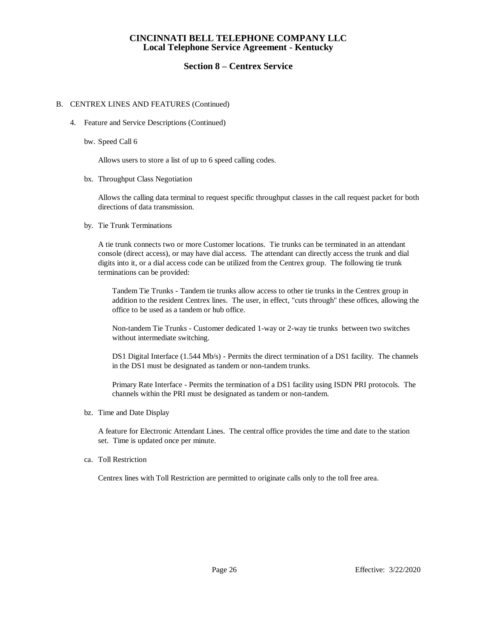## **Section 8 – Centrex Service**

### B. CENTREX LINES AND FEATURES (Continued)

- 4. Feature and Service Descriptions (Continued)
	- bw. Speed Call 6

Allows users to store a list of up to 6 speed calling codes.

bx. Throughput Class Negotiation

Allows the calling data terminal to request specific throughput classes in the call request packet for both directions of data transmission.

by. Tie Trunk Terminations

A tie trunk connects two or more Customer locations. Tie trunks can be terminated in an attendant console (direct access), or may have dial access. The attendant can directly access the trunk and dial digits into it, or a dial access code can be utilized from the Centrex group. The following tie trunk terminations can be provided:

Tandem Tie Trunks - Tandem tie trunks allow access to other tie trunks in the Centrex group in addition to the resident Centrex lines. The user, in effect, "cuts through" these offices, allowing the office to be used as a tandem or hub office.

Non-tandem Tie Trunks - Customer dedicated 1-way or 2-way tie trunks between two switches without intermediate switching.

DS1 Digital Interface (1.544 Mb/s) - Permits the direct termination of a DS1 facility. The channels in the DS1 must be designated as tandem or non-tandem trunks.

Primary Rate Interface - Permits the termination of a DS1 facility using ISDN PRI protocols. The channels within the PRI must be designated as tandem or non-tandem.

bz. Time and Date Display

A feature for Electronic Attendant Lines. The central office provides the time and date to the station set. Time is updated once per minute.

ca. Toll Restriction

Centrex lines with Toll Restriction are permitted to originate calls only to the toll free area.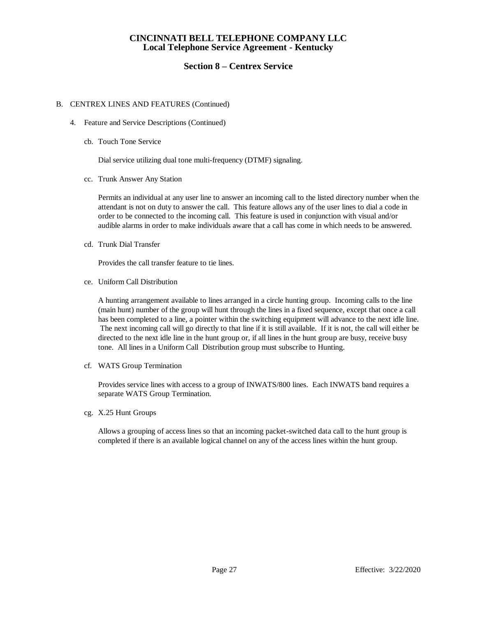## **Section 8 – Centrex Service**

### B. CENTREX LINES AND FEATURES (Continued)

- 4. Feature and Service Descriptions (Continued)
	- cb. Touch Tone Service

Dial service utilizing dual tone multi-frequency (DTMF) signaling.

cc. Trunk Answer Any Station

Permits an individual at any user line to answer an incoming call to the listed directory number when the attendant is not on duty to answer the call. This feature allows any of the user lines to dial a code in order to be connected to the incoming call. This feature is used in conjunction with visual and/or audible alarms in order to make individuals aware that a call has come in which needs to be answered.

cd. Trunk Dial Transfer

Provides the call transfer feature to tie lines.

ce. Uniform Call Distribution

A hunting arrangement available to lines arranged in a circle hunting group. Incoming calls to the line (main hunt) number of the group will hunt through the lines in a fixed sequence, except that once a call has been completed to a line, a pointer within the switching equipment will advance to the next idle line. The next incoming call will go directly to that line if it is still available. If it is not, the call will either be directed to the next idle line in the hunt group or, if all lines in the hunt group are busy, receive busy tone. All lines in a Uniform Call Distribution group must subscribe to Hunting.

cf. WATS Group Termination

Provides service lines with access to a group of INWATS/800 lines. Each INWATS band requires a separate WATS Group Termination.

cg. X.25 Hunt Groups

Allows a grouping of access lines so that an incoming packet-switched data call to the hunt group is completed if there is an available logical channel on any of the access lines within the hunt group.